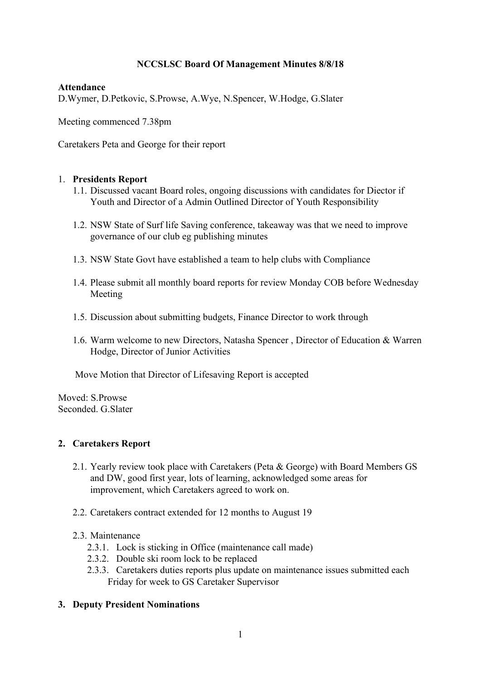# **NCCSLSC Board Of Management Minutes 8/8/18**

### **Attendance**

D.Wymer, D.Petkovic, S.Prowse, A.Wye, N.Spencer, W.Hodge, G.Slater

Meeting commenced 7.38pm

Caretakers Peta and George for their report

### 1. **Presidents Report**

- 1.1. Discussed vacant Board roles, ongoing discussions with candidates for Diector if Youth and Director of a Admin Outlined Director of Youth Responsibility
- 1.2. NSW State of Surf life Saving conference, takeaway was that we need to improve governance of our club eg publishing minutes
- 1.3. NSW State Govt have established a team to help clubs with Compliance
- 1.4. Please submit all monthly board reports for review Monday COB before Wednesday Meeting
- 1.5. Discussion about submitting budgets, Finance Director to work through
- 1.6. Warm welcome to new Directors, Natasha Spencer , Director of Education & Warren Hodge, Director of Junior Activities

Move Motion that Director of Lifesaving Report is accepted

Moved: S.Prowse Seconded. G.Slater

## **2. Caretakers Report**

- 2.1. Yearly review took place with Caretakers (Peta & George) with Board Members GS and DW, good first year, lots of learning, acknowledged some areas for improvement, which Caretakers agreed to work on.
- 2.2. Caretakers contract extended for 12 months to August 19
- 2.3. Maintenance
	- 2.3.1. Lock is sticking in Office (maintenance call made)
	- 2.3.2. Double ski room lock to be replaced
	- 2.3.3. Caretakers duties reports plus update on maintenance issues submitted each Friday for week to GS Caretaker Supervisor

## **3. Deputy President Nominations**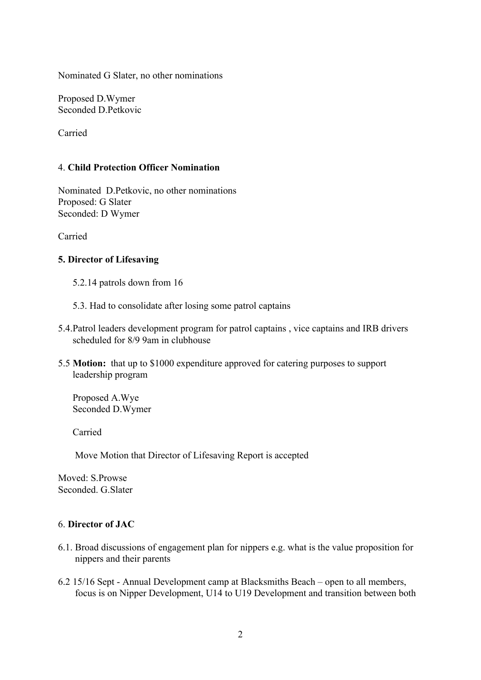Nominated G Slater, no other nominations

Proposed D.Wymer Seconded D.Petkovic

Carried

# 4. **Child Protection Officer Nomination**

Nominated D.Petkovic, no other nominations Proposed: G Slater Seconded: D Wymer

Carried

## **5. Director of Lifesaving**

- 5.2.14 patrols down from 16
- 5.3. Had to consolidate after losing some patrol captains
- 5.4.Patrol leaders development program for patrol captains , vice captains and IRB drivers scheduled for 8/9 9am in clubhouse
- 5.5 **Motion:** that up to \$1000 expenditure approved for catering purposes to support leadership program

Proposed A.Wye Seconded D.Wymer

Carried

Move Motion that Director of Lifesaving Report is accepted

Moved: S.Prowse Seconded. G.Slater

#### 6. **Director of JAC**

- 6.1. Broad discussions of engagement plan for nippers e.g. what is the value proposition for nippers and their parents
- 6.2 15/16 Sept Annual Development camp at Blacksmiths Beach open to all members, focus is on Nipper Development, U14 to U19 Development and transition between both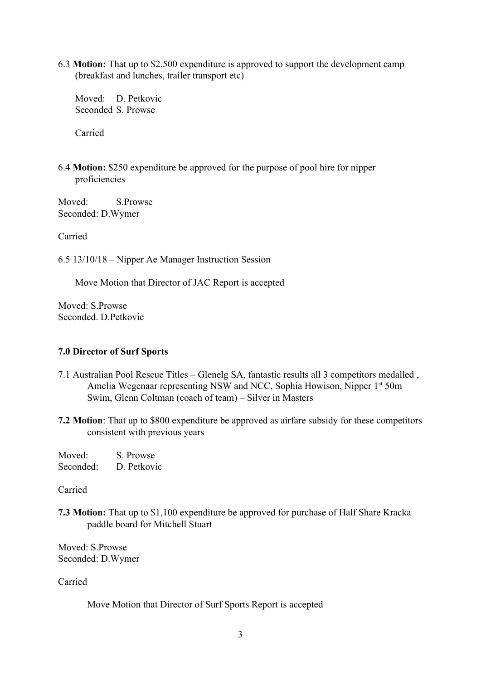6.3 **Motion:** That up to \$2,500 expenditure is approved to support the development camp (breakfast and lunches, trailer transport etc)

Moved: D. Petkovic Seconded S. Prowse

Carried

6.4 **Motion:** \$250 expenditure be approved for the purpose of pool hire for nipper proficiencies

Moved: S.Prowse Seconded: D.Wymer

Carried

6.5 13/10/18 – Nipper Ae Manager Instruction Session

Move Motion that Director of JAC Report is accepted

Moved: S.Prowse Seconded. D.Petkovic

## **7.0 Director of Surf Sports**

- 7.1 Australian Pool Rescue Titles Glenelg SA, fantastic results all 3 competitors medalled , Amelia Wegenaar representing NSW and NCC, Sophia Howison, Nipper 1<sup>st</sup> 50m Swim, Glenn Coltman (coach of team) – Silver in Masters
- **7.2 Motion**: That up to \$800 expenditure be approved as airfare subsidy for these competitors consistent with previous years

| Moved:    | S. Prowse   |
|-----------|-------------|
| Seconded: | D. Petkovic |

Carried

**7.3 Motion:** That up to \$1,100 expenditure be approved for purchase of Half Share Kracka paddle board for Mitchell Stuart

Moved: S.Prowse Seconded: D.Wymer

Carried

Move Motion that Director of Surf Sports Report is accepted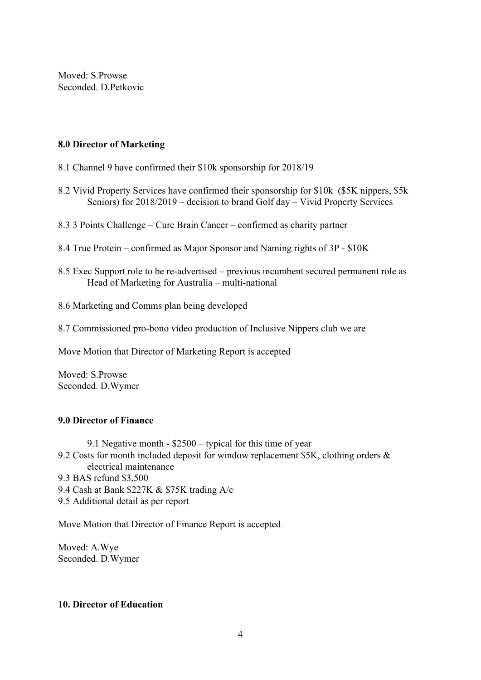Moved: S.Prowse Seconded. D.Petkovic

### **8.0 Director of Marketing**

- 8.1 Channel 9 have confirmed their \$10k sponsorship for 2018/19
- 8.2 Vivid Property Services have confirmed their sponsorship for \$10k (\$5K nippers, \$5k Seniors) for 2018/2019 – decision to brand Golf day – Vivid Property Services
- 8.3 3 Points Challenge Cure Brain Cancer confirmed as charity partner
- 8.4 True Protein confirmed as Major Sponsor and Naming rights of 3P \$10K
- 8.5 Exec Support role to be re-advertised previous incumbent secured permanent role as Head of Marketing for Australia – multi-national
- 8.6 Marketing and Comms plan being developed
- 8.7 Commissioned pro-bono video production of Inclusive Nippers club we are

Move Motion that Director of Marketing Report is accepted

Moved: S.Prowse Seconded. D.Wymer

#### **9.0 Director of Finance**

9.1 Negative month - \$2500 – typical for this time of year 9.2 Costs for month included deposit for window replacement \$5K, clothing orders & electrical maintenance 9.3 BAS refund \$3,500 9.4 Cash at Bank \$227K & \$75K trading A/c 9.5 Additional detail as per report

Move Motion that Director of Finance Report is accepted

Moved: A.Wye Seconded. D.Wymer

#### **10. Director of Education**